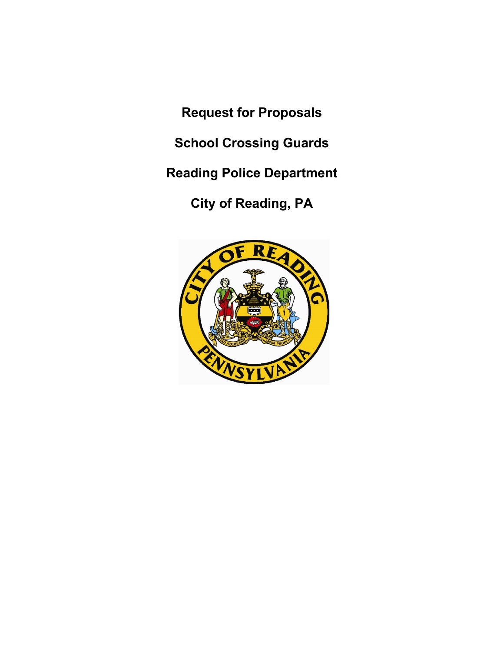**Request for Proposals**

**School Crossing Guards**

**Reading Police Department**

**City of Reading, PA**

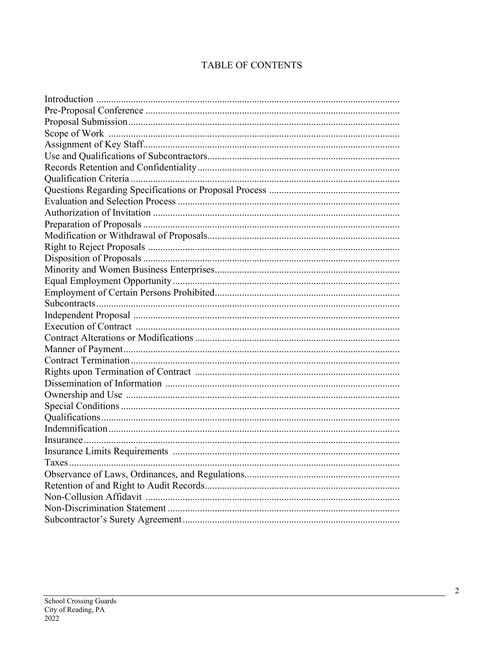## TABLE OF CONTENTS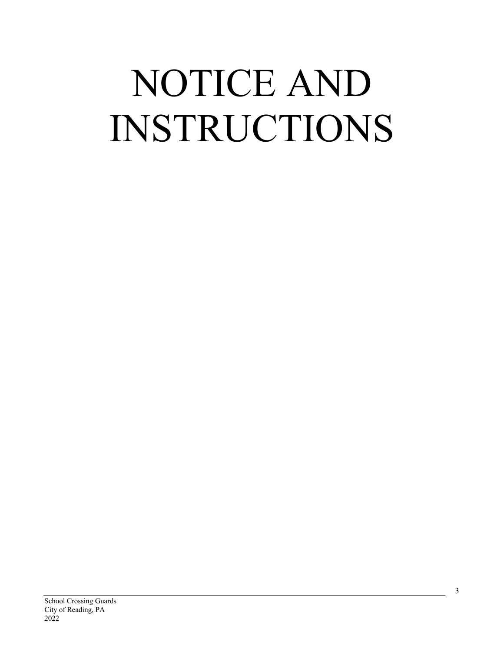# NOTICE AND INSTRUCTIONS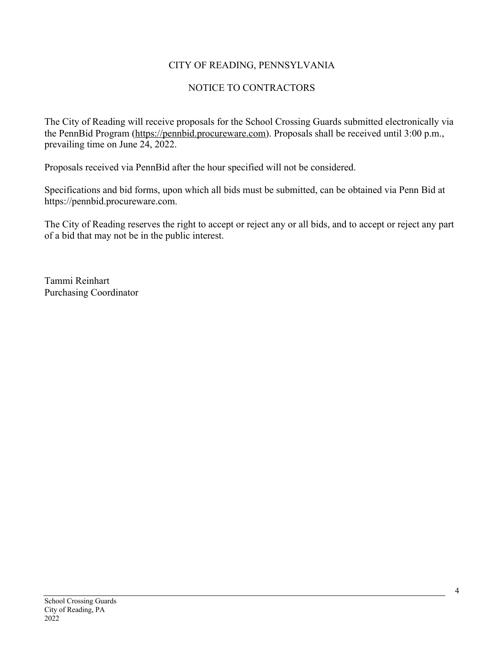#### CITY OF READING, PENNSYLVANIA

#### NOTICE TO CONTRACTORS

The City of Reading will receive proposals for the School Crossing Guards submitted electronically via the PennBid Program (https://pennbid.procureware.com). Proposals shall be received until 3:00 p.m., prevailing time on June 24, 2022.

Proposals received via PennBid after the hour specified will not be considered.

Specifications and bid forms, upon which all bids must be submitted, can be obtained via Penn Bid at https://pennbid.procureware.com.

The City of Reading reserves the right to accept or reject any or all bids, and to accept or reject any part of a bid that may not be in the public interest.

Tammi Reinhart Purchasing Coordinator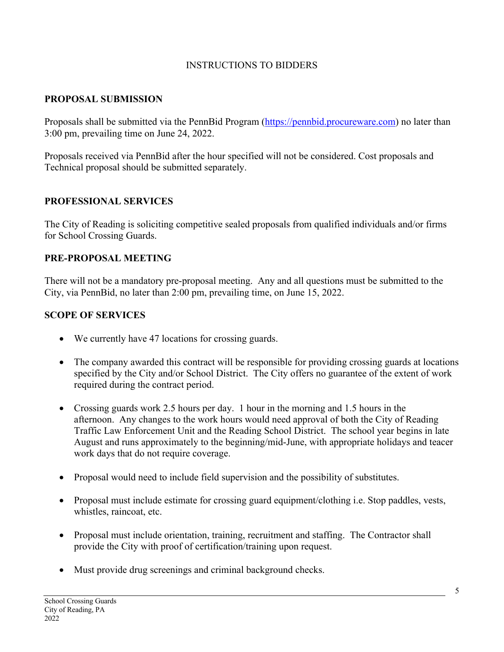#### INSTRUCTIONS TO BIDDERS

#### **PROPOSAL SUBMISSION**

Proposals shall be submitted via the PennBid Program (https://pennbid.procureware.com) no later than 3:00 pm, prevailing time on June 24, 2022.

Proposals received via PennBid after the hour specified will not be considered. Cost proposals and Technical proposal should be submitted separately.

#### **PROFESSIONAL SERVICES**

The City of Reading is soliciting competitive sealed proposals from qualified individuals and/or firms for School Crossing Guards.

#### **PRE-PROPOSAL MEETING**

There will not be a mandatory pre-proposal meeting. Any and all questions must be submitted to the City, via PennBid, no later than 2:00 pm, prevailing time, on June 15, 2022.

#### **SCOPE OF SERVICES**

- We currently have 47 locations for crossing guards.
- The company awarded this contract will be responsible for providing crossing guards at locations specified by the City and/or School District. The City offers no guarantee of the extent of work required during the contract period.
- Crossing guards work 2.5 hours per day. 1 hour in the morning and 1.5 hours in the afternoon. Any changes to the work hours would need approval of both the City of Reading Traffic Law Enforcement Unit and the Reading School District. The school year begins in late August and runs approximately to the beginning/mid-June, with appropriate holidays and teacer work days that do not require coverage.
- Proposal would need to include field supervision and the possibility of substitutes.
- Proposal must include estimate for crossing guard equipment/clothing i.e. Stop paddles, vests, whistles, raincoat, etc.
- Proposal must include orientation, training, recruitment and staffing. The Contractor shall provide the City with proof of certification/training upon request.
- Must provide drug screenings and criminal background checks.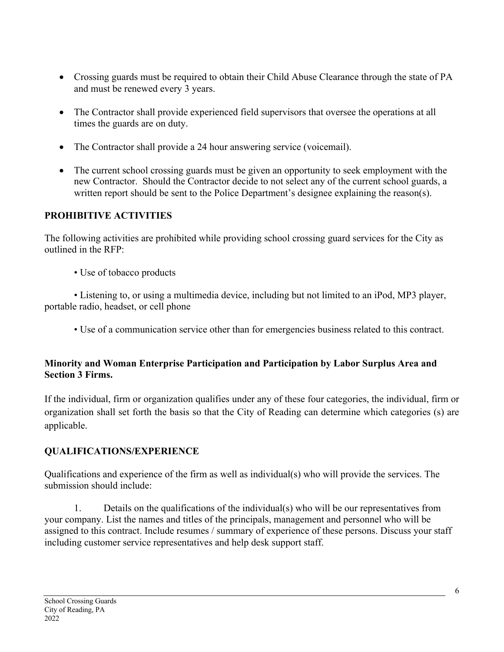- Crossing guards must be required to obtain their Child Abuse Clearance through the state of PA and must be renewed every 3 years.
- The Contractor shall provide experienced field supervisors that oversee the operations at all times the guards are on duty.
- The Contractor shall provide a 24 hour answering service (voicemail).
- The current school crossing guards must be given an opportunity to seek employment with the new Contractor. Should the Contractor decide to not select any of the current school guards, a written report should be sent to the Police Department's designee explaining the reason(s).

#### **PROHIBITIVE ACTIVITIES**

The following activities are prohibited while providing school crossing guard services for the City as outlined in the RFP:

• Use of tobacco products

• Listening to, or using a multimedia device, including but not limited to an iPod, MP3 player, portable radio, headset, or cell phone

• Use of a communication service other than for emergencies business related to this contract.

#### **Minority and Woman Enterprise Participation and Participation by Labor Surplus Area and Section 3 Firms.**

If the individual, firm or organization qualifies under any of these four categories, the individual, firm or organization shall set forth the basis so that the City of Reading can determine which categories (s) are applicable.

## **QUALIFICATIONS/EXPERIENCE**

Qualifications and experience of the firm as well as individual(s) who will provide the services. The submission should include:

1. Details on the qualifications of the individual(s) who will be our representatives from your company. List the names and titles of the principals, management and personnel who will be assigned to this contract. Include resumes / summary of experience of these persons. Discuss your staff including customer service representatives and help desk support staff.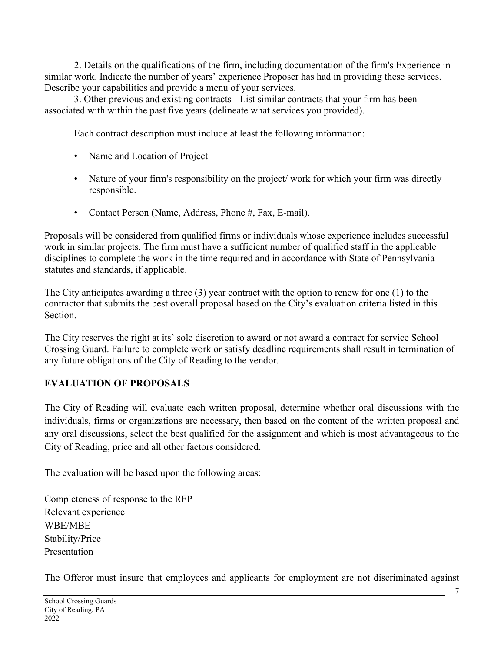2. Details on the qualifications of the firm, including documentation of the firm's Experience in similar work. Indicate the number of years' experience Proposer has had in providing these services. Describe your capabilities and provide a menu of your services.

3. Other previous and existing contracts - List similar contracts that your firm has been associated with within the past five years (delineate what services you provided).

Each contract description must include at least the following information:

- Name and Location of Project
- Nature of your firm's responsibility on the project/ work for which your firm was directly responsible.
- Contact Person (Name, Address, Phone #, Fax, E-mail).

Proposals will be considered from qualified firms or individuals whose experience includes successful work in similar projects. The firm must have a sufficient number of qualified staff in the applicable disciplines to complete the work in the time required and in accordance with State of Pennsylvania statutes and standards, if applicable.

The City anticipates awarding a three (3) year contract with the option to renew for one (1) to the contractor that submits the best overall proposal based on the City's evaluation criteria listed in this Section.

The City reserves the right at its' sole discretion to award or not award a contract for service School Crossing Guard. Failure to complete work or satisfy deadline requirements shall result in termination of any future obligations of the City of Reading to the vendor.

## **EVALUATION OF PROPOSALS**

The City of Reading will evaluate each written proposal, determine whether oral discussions with the individuals, firms or organizations are necessary, then based on the content of the written proposal and any oral discussions, select the best qualified for the assignment and which is most advantageous to the City of Reading, price and all other factors considered.

The evaluation will be based upon the following areas:

Completeness of response to the RFP Relevant experience WBE/MBE Stability/Price Presentation

The Offeror must insure that employees and applicants for employment are not discriminated against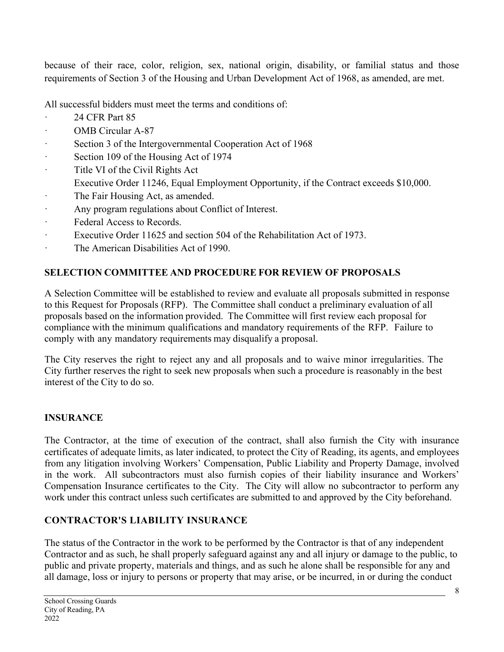because of their race, color, religion, sex, national origin, disability, or familial status and those requirements of Section 3 of the Housing and Urban Development Act of 1968, as amended, are met.

All successful bidders must meet the terms and conditions of:

- · 24 CFR Part 85
- · OMB Circular A-87
- · Section 3 of the Intergovernmental Cooperation Act of 1968
- · Section 109 of the Housing Act of 1974
- · Title VI of the Civil Rights Act
- Executive Order 11246, Equal Employment Opportunity, if the Contract exceeds \$10,000.
- The Fair Housing Act, as amended.
- · Any program regulations about Conflict of Interest.
- · Federal Access to Records.
- · Executive Order 11625 and section 504 of the Rehabilitation Act of 1973.
- · The American Disabilities Act of 1990.

# **SELECTION COMMITTEE AND PROCEDURE FOR REVIEW OF PROPOSALS**

A Selection Committee will be established to review and evaluate all proposals submitted in response to this Request for Proposals (RFP). The Committee shall conduct a preliminary evaluation of all proposals based on the information provided. The Committee will first review each proposal for compliance with the minimum qualifications and mandatory requirements of the RFP. Failure to comply with any mandatory requirements may disqualify a proposal.

The City reserves the right to reject any and all proposals and to waive minor irregularities. The City further reserves the right to seek new proposals when such a procedure is reasonably in the best interest of the City to do so.

# **INSURANCE**

The Contractor, at the time of execution of the contract, shall also furnish the City with insurance certificates of adequate limits, as later indicated, to protect the City of Reading, its agents, and employees from any litigation involving Workers' Compensation, Public Liability and Property Damage, involved in the work. All subcontractors must also furnish copies of their liability insurance and Workers' Compensation Insurance certificates to the City. The City will allow no subcontractor to perform any work under this contract unless such certificates are submitted to and approved by the City beforehand.

# **CONTRACTOR'S LIABILITY INSURANCE**

The status of the Contractor in the work to be performed by the Contractor is that of any independent Contractor and as such, he shall properly safeguard against any and all injury or damage to the public, to public and private property, materials and things, and as such he alone shall be responsible for any and all damage, loss or injury to persons or property that may arise, or be incurred, in or during the conduct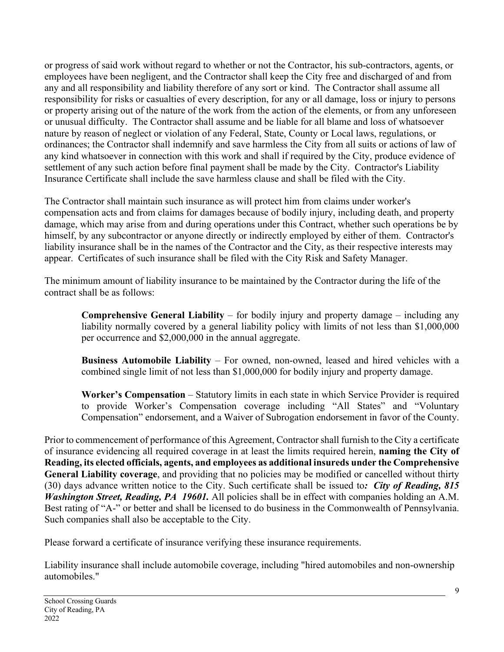or progress of said work without regard to whether or not the Contractor, his sub-contractors, agents, or employees have been negligent, and the Contractor shall keep the City free and discharged of and from any and all responsibility and liability therefore of any sort or kind. The Contractor shall assume all responsibility for risks or casualties of every description, for any or all damage, loss or injury to persons or property arising out of the nature of the work from the action of the elements, or from any unforeseen or unusual difficulty. The Contractor shall assume and be liable for all blame and loss of whatsoever nature by reason of neglect or violation of any Federal, State, County or Local laws, regulations, or ordinances; the Contractor shall indemnify and save harmless the City from all suits or actions of law of any kind whatsoever in connection with this work and shall if required by the City, produce evidence of settlement of any such action before final payment shall be made by the City. Contractor's Liability Insurance Certificate shall include the save harmless clause and shall be filed with the City.

The Contractor shall maintain such insurance as will protect him from claims under worker's compensation acts and from claims for damages because of bodily injury, including death, and property damage, which may arise from and during operations under this Contract, whether such operations be by himself, by any subcontractor or anyone directly or indirectly employed by either of them. Contractor's liability insurance shall be in the names of the Contractor and the City, as their respective interests may appear. Certificates of such insurance shall be filed with the City Risk and Safety Manager.

The minimum amount of liability insurance to be maintained by the Contractor during the life of the contract shall be as follows:

**Comprehensive General Liability** – for bodily injury and property damage – including any liability normally covered by a general liability policy with limits of not less than \$1,000,000 per occurrence and \$2,000,000 in the annual aggregate.

**Business Automobile Liability** – For owned, non-owned, leased and hired vehicles with a combined single limit of not less than \$1,000,000 for bodily injury and property damage.

**Worker's Compensation** – Statutory limits in each state in which Service Provider is required to provide Worker's Compensation coverage including "All States" and "Voluntary Compensation" endorsement, and a Waiver of Subrogation endorsement in favor of the County.

Prior to commencement of performance of this Agreement, Contractor shall furnish to the City a certificate of insurance evidencing all required coverage in at least the limits required herein, **naming the City of Reading, its elected officials, agents, and employees as additional insureds under the Comprehensive General Liability coverage**, and providing that no policies may be modified or cancelled without thirty (30) days advance written notice to the City. Such certificate shall be issued to*: City of Reading, 815 Washington Street, Reading, PA 19601.* All policies shall be in effect with companies holding an A.M. Best rating of "A-" or better and shall be licensed to do business in the Commonwealth of Pennsylvania. Such companies shall also be acceptable to the City.

Please forward a certificate of insurance verifying these insurance requirements.

Liability insurance shall include automobile coverage, including "hired automobiles and non-ownership automobiles."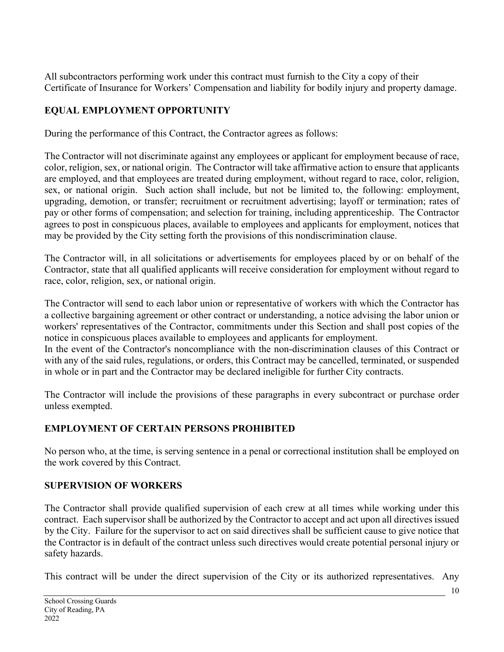All subcontractors performing work under this contract must furnish to the City a copy of their Certificate of Insurance for Workers' Compensation and liability for bodily injury and property damage.

# **EQUAL EMPLOYMENT OPPORTUNITY**

During the performance of this Contract, the Contractor agrees as follows:

The Contractor will not discriminate against any employees or applicant for employment because of race, color, religion, sex, or national origin. The Contractor will take affirmative action to ensure that applicants are employed, and that employees are treated during employment, without regard to race, color, religion, sex, or national origin. Such action shall include, but not be limited to, the following: employment, upgrading, demotion, or transfer; recruitment or recruitment advertising; layoff or termination; rates of pay or other forms of compensation; and selection for training, including apprenticeship. The Contractor agrees to post in conspicuous places, available to employees and applicants for employment, notices that may be provided by the City setting forth the provisions of this nondiscrimination clause.

The Contractor will, in all solicitations or advertisements for employees placed by or on behalf of the Contractor, state that all qualified applicants will receive consideration for employment without regard to race, color, religion, sex, or national origin.

The Contractor will send to each labor union or representative of workers with which the Contractor has a collective bargaining agreement or other contract or understanding, a notice advising the labor union or workers' representatives of the Contractor, commitments under this Section and shall post copies of the notice in conspicuous places available to employees and applicants for employment.

In the event of the Contractor's noncompliance with the non-discrimination clauses of this Contract or with any of the said rules, regulations, or orders, this Contract may be cancelled, terminated, or suspended in whole or in part and the Contractor may be declared ineligible for further City contracts.

The Contractor will include the provisions of these paragraphs in every subcontract or purchase order unless exempted.

## **EMPLOYMENT OF CERTAIN PERSONS PROHIBITED**

No person who, at the time, is serving sentence in a penal or correctional institution shall be employed on the work covered by this Contract.

## **SUPERVISION OF WORKERS**

The Contractor shall provide qualified supervision of each crew at all times while working under this contract. Each supervisor shall be authorized by the Contractor to accept and act upon all directives issued by the City. Failure for the supervisor to act on said directives shall be sufficient cause to give notice that the Contractor is in default of the contract unless such directives would create potential personal injury or safety hazards.

This contract will be under the direct supervision of the City or its authorized representatives. Any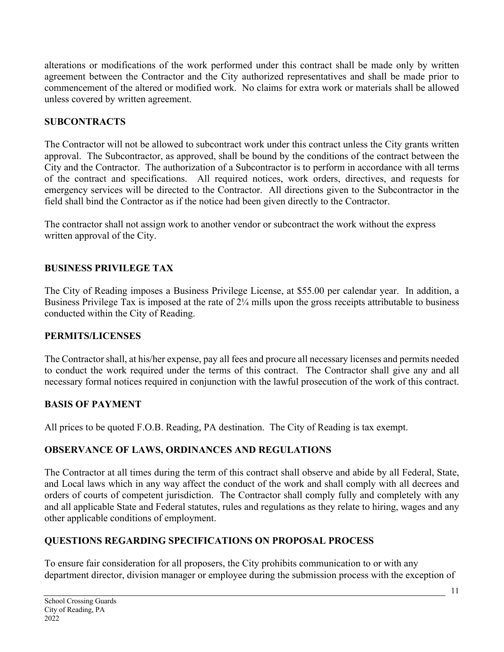alterations or modifications of the work performed under this contract shall be made only by written agreement between the Contractor and the City authorized representatives and shall be made prior to commencement of the altered or modified work. No claims for extra work or materials shall be allowed unless covered by written agreement.

## **SUBCONTRACTS**

The Contractor will not be allowed to subcontract work under this contract unless the City grants written approval. The Subcontractor, as approved, shall be bound by the conditions of the contract between the City and the Contractor. The authorization of a Subcontractor is to perform in accordance with all terms of the contract and specifications. All required notices, work orders, directives, and requests for emergency services will be directed to the Contractor. All directions given to the Subcontractor in the field shall bind the Contractor as if the notice had been given directly to the Contractor.

The contractor shall not assign work to another vendor or subcontract the work without the express written approval of the City.

# **BUSINESS PRIVILEGE TAX**

The City of Reading imposes a Business Privilege License, at \$55.00 per calendar year. In addition, a Business Privilege Tax is imposed at the rate of 2¼ mills upon the gross receipts attributable to business conducted within the City of Reading.

## **PERMITS/LICENSES**

The Contractor shall, at his/her expense, pay all fees and procure all necessary licenses and permits needed to conduct the work required under the terms of this contract. The Contractor shall give any and all necessary formal notices required in conjunction with the lawful prosecution of the work of this contract.

## **BASIS OF PAYMENT**

All prices to be quoted F.O.B. Reading, PA destination. The City of Reading is tax exempt.

# **OBSERVANCE OF LAWS, ORDINANCES AND REGULATIONS**

The Contractor at all times during the term of this contract shall observe and abide by all Federal, State, and Local laws which in any way affect the conduct of the work and shall comply with all decrees and orders of courts of competent jurisdiction. The Contractor shall comply fully and completely with any and all applicable State and Federal statutes, rules and regulations as they relate to hiring, wages and any other applicable conditions of employment.

# **QUESTIONS REGARDING SPECIFICATIONS ON PROPOSAL PROCESS**

To ensure fair consideration for all proposers, the City prohibits communication to or with any department director, division manager or employee during the submission process with the exception of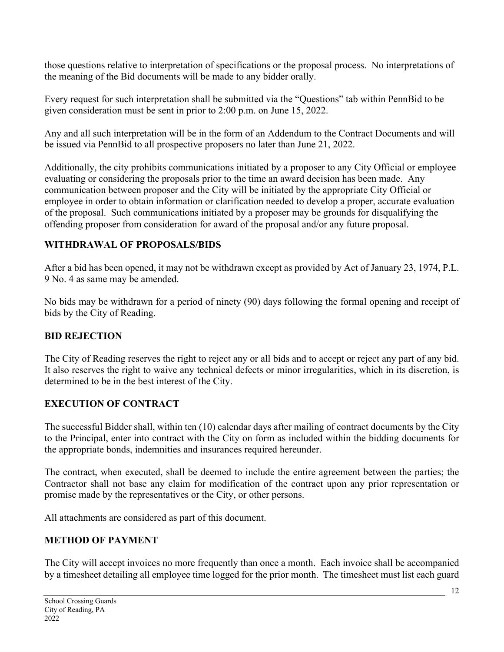those questions relative to interpretation of specifications or the proposal process. No interpretations of the meaning of the Bid documents will be made to any bidder orally.

Every request for such interpretation shall be submitted via the "Questions" tab within PennBid to be given consideration must be sent in prior to 2:00 p.m. on June 15, 2022.

Any and all such interpretation will be in the form of an Addendum to the Contract Documents and will be issued via PennBid to all prospective proposers no later than June 21, 2022.

Additionally, the city prohibits communications initiated by a proposer to any City Official or employee evaluating or considering the proposals prior to the time an award decision has been made. Any communication between proposer and the City will be initiated by the appropriate City Official or employee in order to obtain information or clarification needed to develop a proper, accurate evaluation of the proposal. Such communications initiated by a proposer may be grounds for disqualifying the offending proposer from consideration for award of the proposal and/or any future proposal.

# **WITHDRAWAL OF PROPOSALS/BIDS**

After a bid has been opened, it may not be withdrawn except as provided by Act of January 23, 1974, P.L. 9 No. 4 as same may be amended.

No bids may be withdrawn for a period of ninety (90) days following the formal opening and receipt of bids by the City of Reading.

## **BID REJECTION**

The City of Reading reserves the right to reject any or all bids and to accept or reject any part of any bid. It also reserves the right to waive any technical defects or minor irregularities, which in its discretion, is determined to be in the best interest of the City.

## **EXECUTION OF CONTRACT**

The successful Bidder shall, within ten (10) calendar days after mailing of contract documents by the City to the Principal, enter into contract with the City on form as included within the bidding documents for the appropriate bonds, indemnities and insurances required hereunder.

The contract, when executed, shall be deemed to include the entire agreement between the parties; the Contractor shall not base any claim for modification of the contract upon any prior representation or promise made by the representatives or the City, or other persons.

All attachments are considered as part of this document.

## **METHOD OF PAYMENT**

The City will accept invoices no more frequently than once a month. Each invoice shall be accompanied by a timesheet detailing all employee time logged for the prior month. The timesheet must list each guard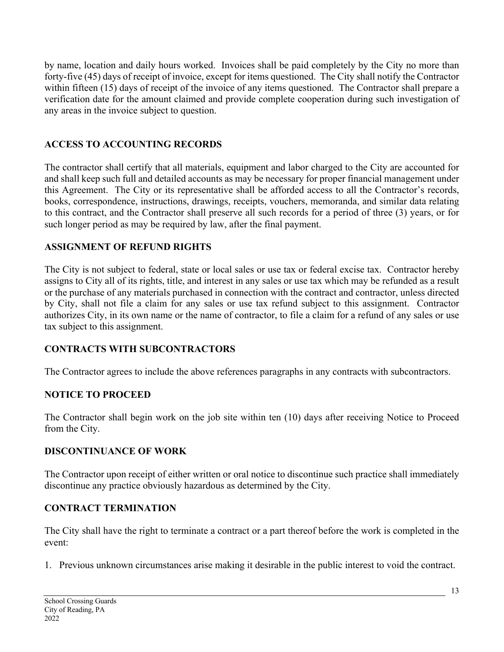by name, location and daily hours worked. Invoices shall be paid completely by the City no more than forty-five (45) days of receipt of invoice, except for items questioned. The City shall notify the Contractor within fifteen (15) days of receipt of the invoice of any items questioned. The Contractor shall prepare a verification date for the amount claimed and provide complete cooperation during such investigation of any areas in the invoice subject to question.

## **ACCESS TO ACCOUNTING RECORDS**

The contractor shall certify that all materials, equipment and labor charged to the City are accounted for and shall keep such full and detailed accounts as may be necessary for proper financial management under this Agreement. The City or its representative shall be afforded access to all the Contractor's records, books, correspondence, instructions, drawings, receipts, vouchers, memoranda, and similar data relating to this contract, and the Contractor shall preserve all such records for a period of three (3) years, or for such longer period as may be required by law, after the final payment.

#### **ASSIGNMENT OF REFUND RIGHTS**

The City is not subject to federal, state or local sales or use tax or federal excise tax. Contractor hereby assigns to City all of its rights, title, and interest in any sales or use tax which may be refunded as a result or the purchase of any materials purchased in connection with the contract and contractor, unless directed by City, shall not file a claim for any sales or use tax refund subject to this assignment. Contractor authorizes City, in its own name or the name of contractor, to file a claim for a refund of any sales or use tax subject to this assignment.

## **CONTRACTS WITH SUBCONTRACTORS**

The Contractor agrees to include the above references paragraphs in any contracts with subcontractors.

#### **NOTICE TO PROCEED**

The Contractor shall begin work on the job site within ten (10) days after receiving Notice to Proceed from the City.

#### **DISCONTINUANCE OF WORK**

The Contractor upon receipt of either written or oral notice to discontinue such practice shall immediately discontinue any practice obviously hazardous as determined by the City.

## **CONTRACT TERMINATION**

The City shall have the right to terminate a contract or a part thereof before the work is completed in the event:

1. Previous unknown circumstances arise making it desirable in the public interest to void the contract.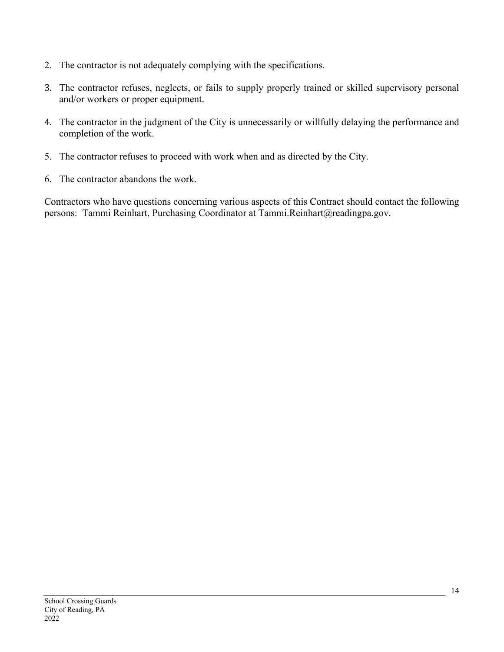- 2. The contractor is not adequately complying with the specifications.
- 3. The contractor refuses, neglects, or fails to supply properly trained or skilled supervisory personal and/or workers or proper equipment.
- 4. The contractor in the judgment of the City is unnecessarily or willfully delaying the performance and completion of the work.
- 5. The contractor refuses to proceed with work when and as directed by the City.
- 6. The contractor abandons the work.

Contractors who have questions concerning various aspects of this Contract should contact the following persons: Tammi Reinhart, Purchasing Coordinator at Tammi.Reinhart@readingpa.gov.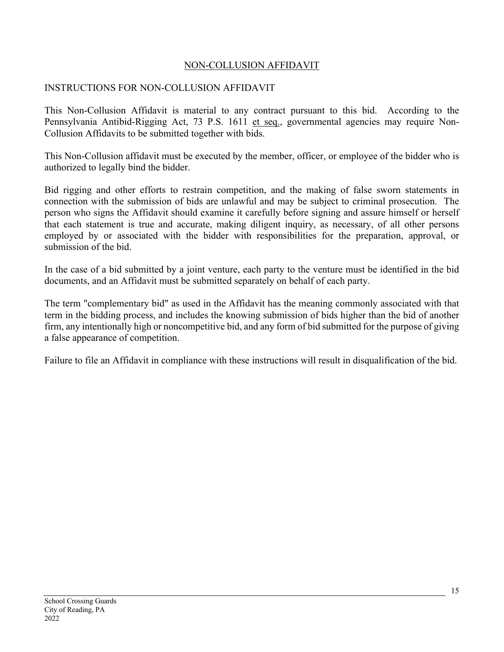#### NON-COLLUSION AFFIDAVIT

#### INSTRUCTIONS FOR NON-COLLUSION AFFIDAVIT

This Non-Collusion Affidavit is material to any contract pursuant to this bid. According to the Pennsylvania Antibid-Rigging Act, 73 P.S. 1611 et seq., governmental agencies may require Non-Collusion Affidavits to be submitted together with bids.

This Non-Collusion affidavit must be executed by the member, officer, or employee of the bidder who is authorized to legally bind the bidder.

Bid rigging and other efforts to restrain competition, and the making of false sworn statements in connection with the submission of bids are unlawful and may be subject to criminal prosecution. The person who signs the Affidavit should examine it carefully before signing and assure himself or herself that each statement is true and accurate, making diligent inquiry, as necessary, of all other persons employed by or associated with the bidder with responsibilities for the preparation, approval, or submission of the bid.

In the case of a bid submitted by a joint venture, each party to the venture must be identified in the bid documents, and an Affidavit must be submitted separately on behalf of each party.

The term "complementary bid" as used in the Affidavit has the meaning commonly associated with that term in the bidding process, and includes the knowing submission of bids higher than the bid of another firm, any intentionally high or noncompetitive bid, and any form of bid submitted for the purpose of giving a false appearance of competition.

Failure to file an Affidavit in compliance with these instructions will result in disqualification of the bid.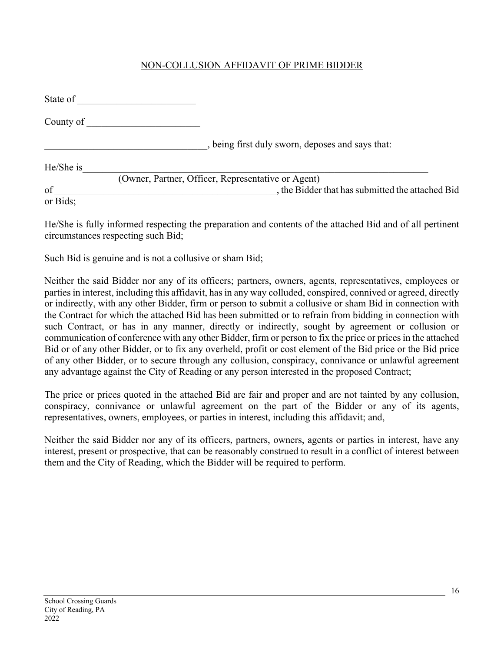#### NON-COLLUSION AFFIDAVIT OF PRIME BIDDER

| State of  |                                                    |
|-----------|----------------------------------------------------|
| County of |                                                    |
|           | , being first duly sworn, deposes and says that:   |
| He/She is |                                                    |
|           | (Owner, Partner, Officer, Representative or Agent) |
| of        | , the Bidder that has submitted the attached Bid   |
| or Bids;  |                                                    |

He/She is fully informed respecting the preparation and contents of the attached Bid and of all pertinent circumstances respecting such Bid;

Such Bid is genuine and is not a collusive or sham Bid;

Neither the said Bidder nor any of its officers; partners, owners, agents, representatives, employees or parties in interest, including this affidavit, has in any way colluded, conspired, connived or agreed, directly or indirectly, with any other Bidder, firm or person to submit a collusive or sham Bid in connection with the Contract for which the attached Bid has been submitted or to refrain from bidding in connection with such Contract, or has in any manner, directly or indirectly, sought by agreement or collusion or communication of conference with any other Bidder, firm or person to fix the price or prices in the attached Bid or of any other Bidder, or to fix any overheld, profit or cost element of the Bid price or the Bid price of any other Bidder, or to secure through any collusion, conspiracy, connivance or unlawful agreement any advantage against the City of Reading or any person interested in the proposed Contract;

The price or prices quoted in the attached Bid are fair and proper and are not tainted by any collusion, conspiracy, connivance or unlawful agreement on the part of the Bidder or any of its agents, representatives, owners, employees, or parties in interest, including this affidavit; and,

Neither the said Bidder nor any of its officers, partners, owners, agents or parties in interest, have any interest, present or prospective, that can be reasonably construed to result in a conflict of interest between them and the City of Reading, which the Bidder will be required to perform.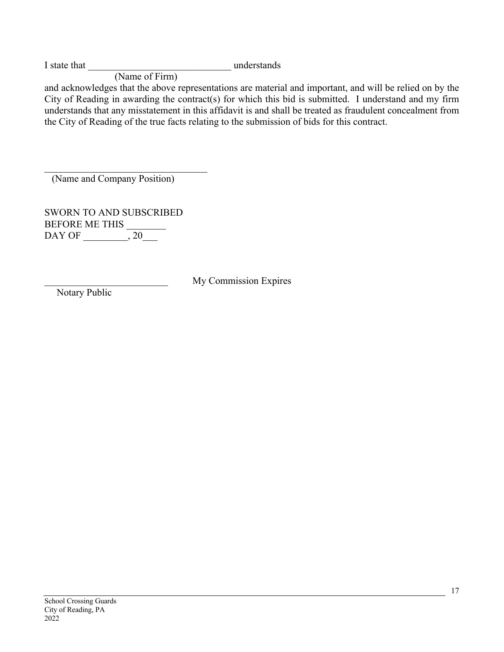I state that **I** state that **I** state that **I** state that **I** state is now understands

(Name of Firm)

and acknowledges that the above representations are material and important, and will be relied on by the City of Reading in awarding the contract(s) for which this bid is submitted. I understand and my firm understands that any misstatement in this affidavit is and shall be treated as fraudulent concealment from the City of Reading of the true facts relating to the submission of bids for this contract.

(Name and Company Position)

SWORN TO AND SUBSCRIBED BEFORE ME THIS DAY OF \_\_\_\_\_\_\_\_, 20\_\_\_

\_\_\_\_\_\_\_\_\_\_\_\_\_\_\_\_\_\_\_\_\_\_\_\_\_ My Commission Expires

Notary Public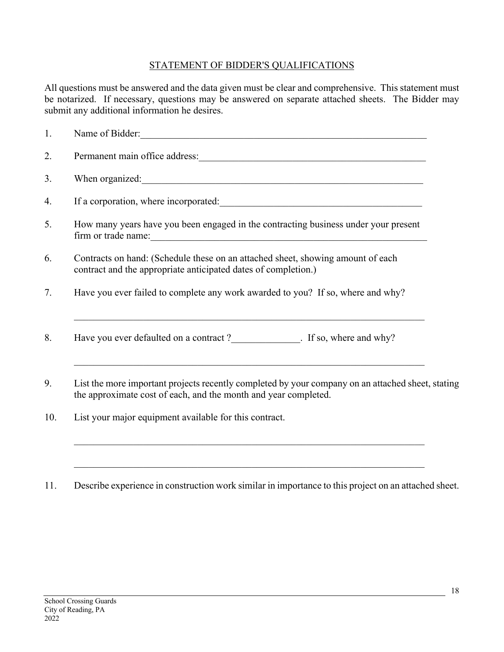#### STATEMENT OF BIDDER'S QUALIFICATIONS

All questions must be answered and the data given must be clear and comprehensive. This statement must be notarized. If necessary, questions may be answered on separate attached sheets. The Bidder may submit any additional information he desires.

| 1.  | Name of Bidder:                                                                                                                                                                                                                                                                                                       |
|-----|-----------------------------------------------------------------------------------------------------------------------------------------------------------------------------------------------------------------------------------------------------------------------------------------------------------------------|
| 2.  |                                                                                                                                                                                                                                                                                                                       |
| 3.  | When organized: When organized:                                                                                                                                                                                                                                                                                       |
| 4.  |                                                                                                                                                                                                                                                                                                                       |
| 5.  | How many years have you been engaged in the contracting business under your present<br>firm or trade name: 1000 million and the contract of the contract of the contract of the contract of the contract of the contract of the contract of the contract of the contract of the contract of the contract of the contr |
| 6.  | Contracts on hand: (Schedule these on an attached sheet, showing amount of each<br>contract and the appropriate anticipated dates of completion.)                                                                                                                                                                     |
| 7.  | Have you ever failed to complete any work awarded to you? If so, where and why?                                                                                                                                                                                                                                       |
| 8.  | Have you ever defaulted on a contract?<br>F so, where and why?                                                                                                                                                                                                                                                        |
| 9.  | List the more important projects recently completed by your company on an attached sheet, stating<br>the approximate cost of each, and the month and year completed.                                                                                                                                                  |
| 10. | List your major equipment available for this contract.                                                                                                                                                                                                                                                                |

11. Describe experience in construction work similar in importance to this project on an attached sheet.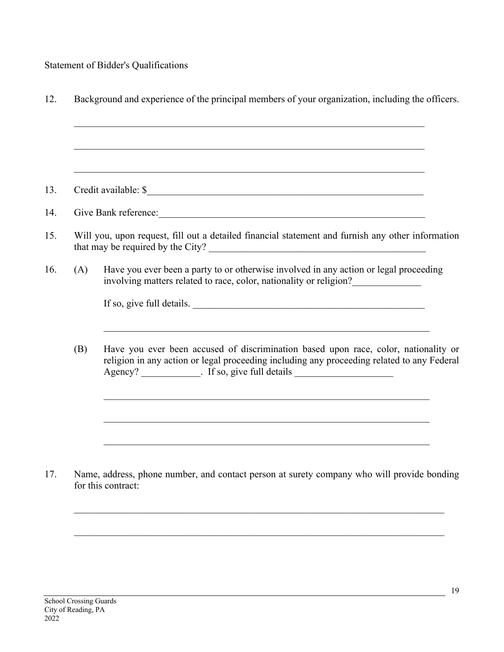Statement of Bidder's Qualifications

|     | <u> 1989 - Johann Barn, amerikan berkema dalam berkema dalam berkema dalam berkema dalam berkema dalam berkema da</u>                                                                                                                                                 |
|-----|-----------------------------------------------------------------------------------------------------------------------------------------------------------------------------------------------------------------------------------------------------------------------|
|     | Credit available: \$                                                                                                                                                                                                                                                  |
|     | Give Bank reference:                                                                                                                                                                                                                                                  |
|     | Will you, upon request, fill out a detailed financial statement and furnish any other information                                                                                                                                                                     |
| (A) | Have you ever been a party to or otherwise involved in any action or legal proceeding<br>involving matters related to race, color, nationality or religion?                                                                                                           |
|     | If so, give full details.                                                                                                                                                                                                                                             |
| (B) | Have you ever been accused of discrimination based upon race, color, nationality or<br>religion in any action or legal proceeding including any proceeding related to any Federal<br>Agency? _____________. If so, give full details ________________________________ |
|     |                                                                                                                                                                                                                                                                       |
|     | <u> 1989 - Johann Stoff, amerikansk politiker (d. 1989)</u>                                                                                                                                                                                                           |
|     |                                                                                                                                                                                                                                                                       |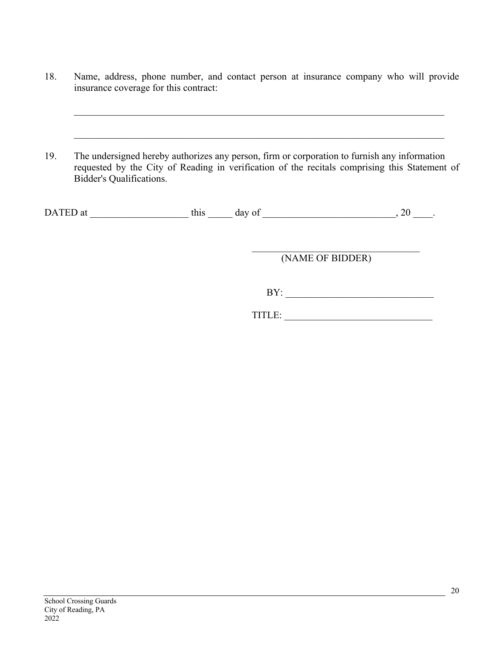- 18. Name, address, phone number, and contact person at insurance company who will provide insurance coverage for this contract:
- 19. The undersigned hereby authorizes any person, firm or corporation to furnish any information requested by the City of Reading in verification of the recitals comprising this Statement of Bidder's Qualifications.

| DA<br>at<br>ப்ப | `his | day of |  |
|-----------------|------|--------|--|
|                 |      |        |  |

(NAME OF BIDDER)

BY: \_\_\_\_\_\_\_\_\_\_\_\_\_\_\_\_\_\_\_\_\_\_\_\_\_\_\_\_\_\_

| TITI F |
|--------|
|--------|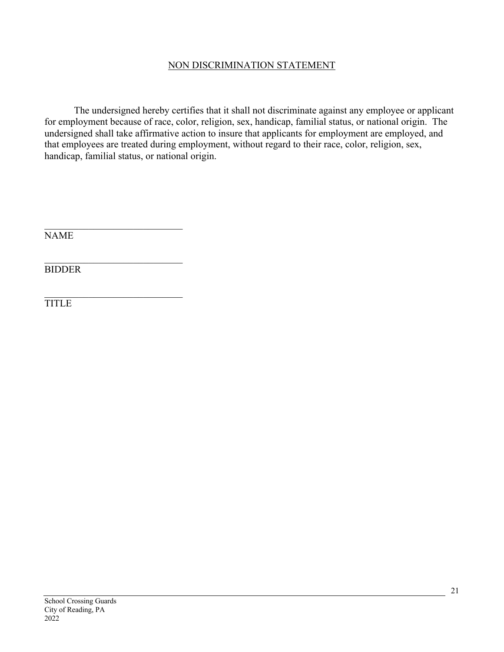#### NON DISCRIMINATION STATEMENT

The undersigned hereby certifies that it shall not discriminate against any employee or applicant for employment because of race, color, religion, sex, handicap, familial status, or national origin. The undersigned shall take affirmative action to insure that applicants for employment are employed, and that employees are treated during employment, without regard to their race, color, religion, sex, handicap, familial status, or national origin.

NAME

BIDDER

TITLE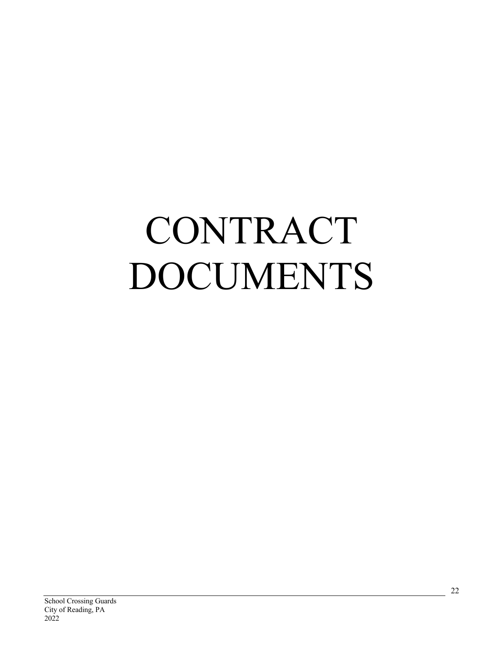# CONTRACT DOCUMENTS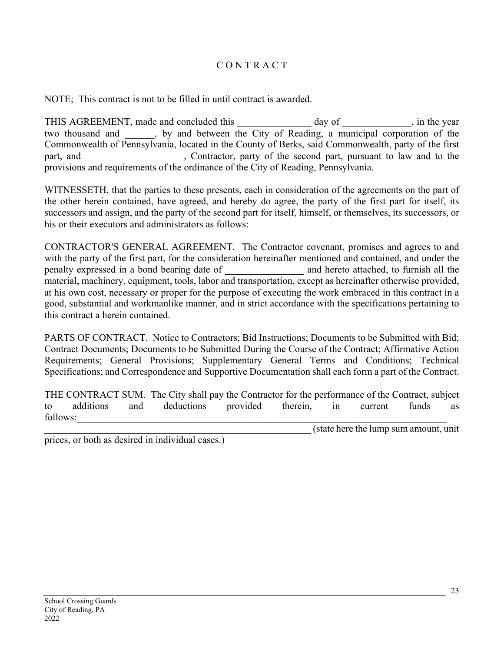#### C O N T R A C T

NOTE; This contract is not to be filled in until contract is awarded.

THIS AGREEMENT, made and concluded this day of example in the year two thousand and \_\_\_\_\_\_, by and between the City of Reading, a municipal corporation of the Commonwealth of Pennsylvania, located in the County of Berks, said Commonwealth, party of the first part, and <br>contractor, party of the second part, pursuant to law and to the provisions and requirements of the ordinance of the City of Reading, Pennsylvania.

WITNESSETH, that the parties to these presents, each in consideration of the agreements on the part of the other herein contained, have agreed, and hereby do agree, the party of the first part for itself, its successors and assign, and the party of the second part for itself, himself, or themselves, its successors, or his or their executors and administrators as follows:

CONTRACTOR'S GENERAL AGREEMENT. The Contractor covenant, promises and agrees to and with the party of the first part, for the consideration hereinafter mentioned and contained, and under the penalty expressed in a bond bearing date of \_\_\_\_\_\_\_\_\_\_\_\_\_\_\_\_ and hereto attached, to furnish all the material, machinery, equipment, tools, labor and transportation, except as hereinafter otherwise provided, at his own cost, necessary or proper for the purpose of executing the work embraced in this contract in a good, substantial and workmanlike manner, and in strict accordance with the specifications pertaining to this contract a herein contained.

PARTS OF CONTRACT. Notice to Contractors; Bid Instructions; Documents to be Submitted with Bid; Contract Documents; Documents to be Submitted During the Course of the Contract; Affirmative Action Requirements; General Provisions; Supplementary General Terms and Conditions; Technical Specifications; and Correspondence and Supportive Documentation shall each form a part of the Contract.

THE CONTRACT SUM. The City shall pay the Contractor for the performance of the Contract, subject to additions and deductions provided therein, in current funds as follows:

\_\_\_\_\_\_\_\_\_\_\_\_\_\_\_\_\_\_\_\_\_\_\_\_\_\_\_\_\_\_\_\_\_\_\_\_\_\_\_\_\_\_\_\_\_\_\_\_\_\_\_\_\_\_ (state here the lump sum amount, unit

prices, or both as desired in individual cases.)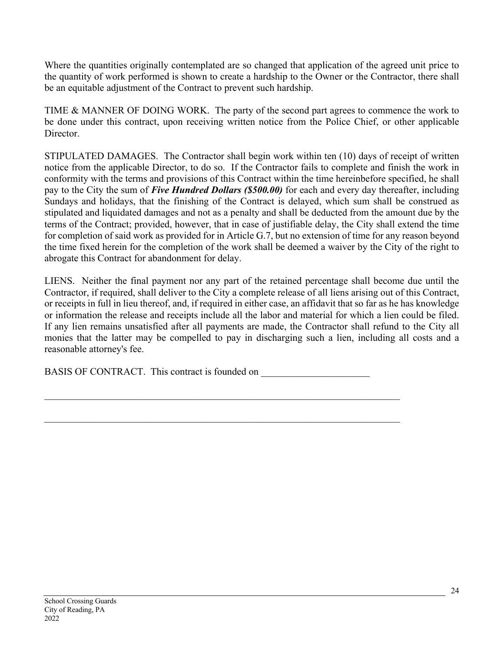Where the quantities originally contemplated are so changed that application of the agreed unit price to the quantity of work performed is shown to create a hardship to the Owner or the Contractor, there shall be an equitable adjustment of the Contract to prevent such hardship.

TIME & MANNER OF DOING WORK. The party of the second part agrees to commence the work to be done under this contract, upon receiving written notice from the Police Chief, or other applicable Director.

STIPULATED DAMAGES. The Contractor shall begin work within ten (10) days of receipt of written notice from the applicable Director, to do so. If the Contractor fails to complete and finish the work in conformity with the terms and provisions of this Contract within the time hereinbefore specified, he shall pay to the City the sum of *Five Hundred Dollars (\$500.00)* for each and every day thereafter, including Sundays and holidays, that the finishing of the Contract is delayed, which sum shall be construed as stipulated and liquidated damages and not as a penalty and shall be deducted from the amount due by the terms of the Contract; provided, however, that in case of justifiable delay, the City shall extend the time for completion of said work as provided for in Article G.7, but no extension of time for any reason beyond the time fixed herein for the completion of the work shall be deemed a waiver by the City of the right to abrogate this Contract for abandonment for delay.

LIENS. Neither the final payment nor any part of the retained percentage shall become due until the Contractor, if required, shall deliver to the City a complete release of all liens arising out of this Contract, or receipts in full in lieu thereof, and, if required in either case, an affidavit that so far as he has knowledge or information the release and receipts include all the labor and material for which a lien could be filed. If any lien remains unsatisfied after all payments are made, the Contractor shall refund to the City all monies that the latter may be compelled to pay in discharging such a lien, including all costs and a reasonable attorney's fee.

BASIS OF CONTRACT. This contract is founded on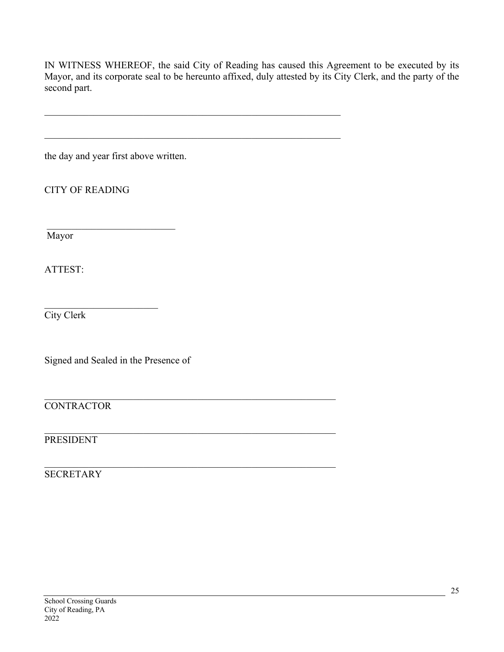IN WITNESS WHEREOF, the said City of Reading has caused this Agreement to be executed by its Mayor, and its corporate seal to be hereunto affixed, duly attested by its City Clerk, and the party of the second part.

the day and year first above written.

CITY OF READING

Mayor

ATTEST:

City Clerk

Signed and Sealed in the Presence of

**CONTRACTOR** 

## PRESIDENT

#### **SECRETARY**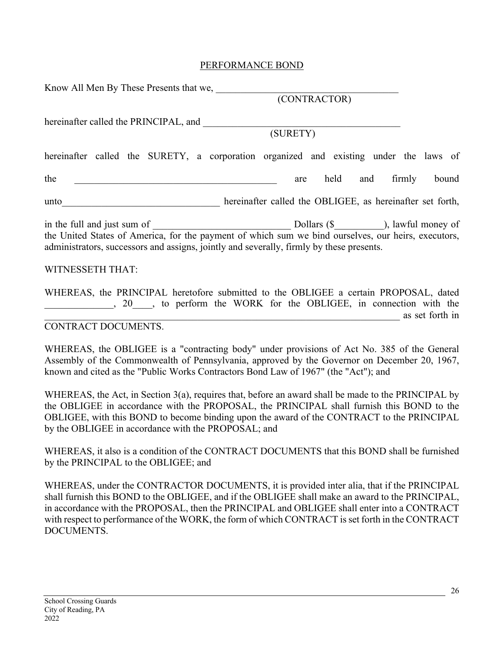#### PERFORMANCE BOND

| Know All Men By These Presents that we,                                                                                                                                                         |                                                           |      |     |        |       |
|-------------------------------------------------------------------------------------------------------------------------------------------------------------------------------------------------|-----------------------------------------------------------|------|-----|--------|-------|
|                                                                                                                                                                                                 | (CONTRACTOR)                                              |      |     |        |       |
| hereinafter called the PRINCIPAL, and                                                                                                                                                           |                                                           |      |     |        |       |
|                                                                                                                                                                                                 | (SURETY)                                                  |      |     |        |       |
| hereinafter called the SURETY, a corporation organized and existing under the laws of                                                                                                           |                                                           |      |     |        |       |
| the                                                                                                                                                                                             | are                                                       | held | and | firmly | bound |
| unto                                                                                                                                                                                            | hereinafter called the OBLIGEE, as hereinafter set forth, |      |     |        |       |
| the United States of America, for the payment of which sum we bind ourselves, our heirs, executors,<br>administrators, successors and assigns, jointly and severally, firmly by these presents. |                                                           |      |     |        |       |

#### WITNESSETH THAT:

WHEREAS, the PRINCIPAL heretofore submitted to the OBLIGEE a certain PROPOSAL, dated \_\_\_\_\_\_\_\_\_\_\_\_\_\_, 20\_\_\_\_, to perform the WORK for the OBLIGEE, in connection with the \_\_\_\_\_\_\_\_\_\_\_\_\_\_\_\_\_\_\_\_\_\_\_\_\_\_\_\_\_\_\_\_\_\_\_\_\_\_\_\_\_\_\_\_\_\_\_\_\_\_\_\_\_\_\_\_\_\_\_\_\_\_\_\_\_\_\_\_\_\_\_\_ as set forth in

#### CONTRACT DOCUMENTS.

WHEREAS, the OBLIGEE is a "contracting body" under provisions of Act No. 385 of the General Assembly of the Commonwealth of Pennsylvania, approved by the Governor on December 20, 1967, known and cited as the "Public Works Contractors Bond Law of 1967" (the "Act"); and

WHEREAS, the Act, in Section 3(a), requires that, before an award shall be made to the PRINCIPAL by the OBLIGEE in accordance with the PROPOSAL, the PRINCIPAL shall furnish this BOND to the OBLIGEE, with this BOND to become binding upon the award of the CONTRACT to the PRINCIPAL by the OBLIGEE in accordance with the PROPOSAL; and

WHEREAS, it also is a condition of the CONTRACT DOCUMENTS that this BOND shall be furnished by the PRINCIPAL to the OBLIGEE; and

WHEREAS, under the CONTRACTOR DOCUMENTS, it is provided inter alia, that if the PRINCIPAL shall furnish this BOND to the OBLIGEE, and if the OBLIGEE shall make an award to the PRINCIPAL, in accordance with the PROPOSAL, then the PRINCIPAL and OBLIGEE shall enter into a CONTRACT with respect to performance of the WORK, the form of which CONTRACT is set forth in the CONTRACT DOCUMENTS.

26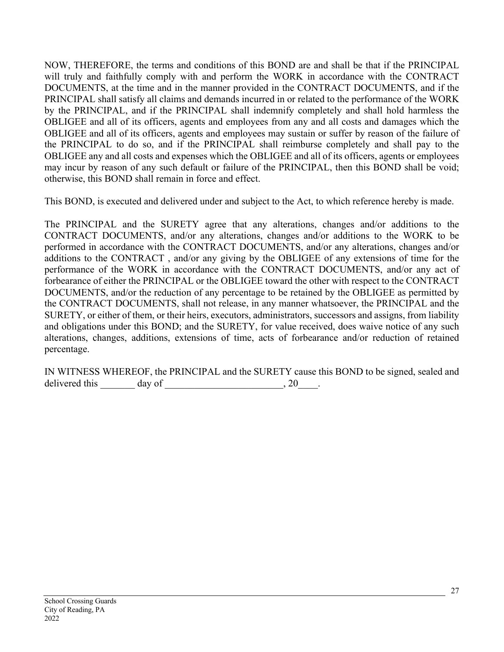NOW, THEREFORE, the terms and conditions of this BOND are and shall be that if the PRINCIPAL will truly and faithfully comply with and perform the WORK in accordance with the CONTRACT DOCUMENTS, at the time and in the manner provided in the CONTRACT DOCUMENTS, and if the PRINCIPAL shall satisfy all claims and demands incurred in or related to the performance of the WORK by the PRINCIPAL, and if the PRINCIPAL shall indemnify completely and shall hold harmless the OBLIGEE and all of its officers, agents and employees from any and all costs and damages which the OBLIGEE and all of its officers, agents and employees may sustain or suffer by reason of the failure of the PRINCIPAL to do so, and if the PRINCIPAL shall reimburse completely and shall pay to the OBLIGEE any and all costs and expenses which the OBLIGEE and all of its officers, agents or employees may incur by reason of any such default or failure of the PRINCIPAL, then this BOND shall be void; otherwise, this BOND shall remain in force and effect.

This BOND, is executed and delivered under and subject to the Act, to which reference hereby is made.

The PRINCIPAL and the SURETY agree that any alterations, changes and/or additions to the CONTRACT DOCUMENTS, and/or any alterations, changes and/or additions to the WORK to be performed in accordance with the CONTRACT DOCUMENTS, and/or any alterations, changes and/or additions to the CONTRACT , and/or any giving by the OBLIGEE of any extensions of time for the performance of the WORK in accordance with the CONTRACT DOCUMENTS, and/or any act of forbearance of either the PRINCIPAL or the OBLIGEE toward the other with respect to the CONTRACT DOCUMENTS, and/or the reduction of any percentage to be retained by the OBLIGEE as permitted by the CONTRACT DOCUMENTS, shall not release, in any manner whatsoever, the PRINCIPAL and the SURETY, or either of them, or their heirs, executors, administrators, successors and assigns, from liability and obligations under this BOND; and the SURETY, for value received, does waive notice of any such alterations, changes, additions, extensions of time, acts of forbearance and/or reduction of retained percentage.

IN WITNESS WHEREOF, the PRINCIPAL and the SURETY cause this BOND to be signed, sealed and delivered this  $\_\_\_\_\_\$  day of  $\_\_\_\_\_\_\_\_\_\_\_$ , 20 $\_\_\_\_\_\_\_\_\_$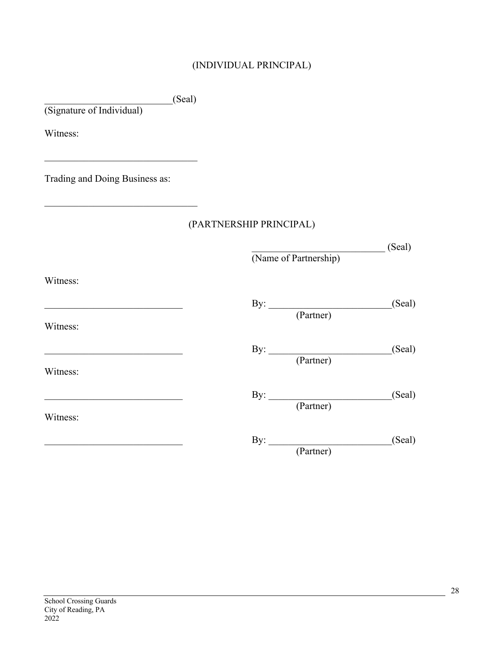# (INDIVIDUAL PRINCIPAL)

|                                                                                                              | (Seal)                             |        |
|--------------------------------------------------------------------------------------------------------------|------------------------------------|--------|
| (Signature of Individual)                                                                                    |                                    |        |
| Witness:                                                                                                     |                                    |        |
| the control of the control of the control of the control of the control of<br>Trading and Doing Business as: |                                    |        |
|                                                                                                              | (PARTNERSHIP PRINCIPAL)            |        |
|                                                                                                              | (Name of Partnership)              | (Seal) |
| Witness:                                                                                                     |                                    |        |
| Witness:                                                                                                     | By: <u>(Partner)</u>               | (Seal) |
| <u> 1989 - Johann John Stone, mars et al. (</u>                                                              | By: $\frac{1}{(\text{Patterner})}$ | (Seal) |
| Witness:                                                                                                     | By: $\qquad \qquad$                | (Seal) |
| Witness:                                                                                                     | (Partner)                          |        |
|                                                                                                              | By: $\frac{1}{(\text{ Partner})}$  | (Seal) |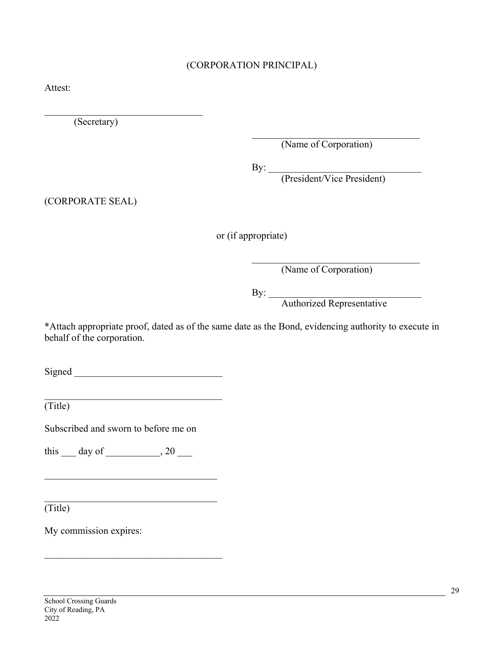#### (CORPORATION PRINCIPAL)

Attest:

(Secretary)

(Name of Corporation)

 $\mathbf{By:}$ 

(President/Vice President)

(CORPORATE SEAL)

or (if appropriate)

(Name of Corporation)

 $\mathbf{By:}$ 

Authorized Representative

\*Attach appropriate proof, dated as of the same date as the Bond, evidencing authority to execute in behalf of the corporation.

Signed  $\Box$ 

(Title)

Subscribed and sworn to before me on

this  $\rule{1em}{0.15mm}$  day of  $\rule{1.5mm}{0.15mm}$ , 20  $\rule{1.5mm}{}$ 

 $(Title)$ 

My commission expires: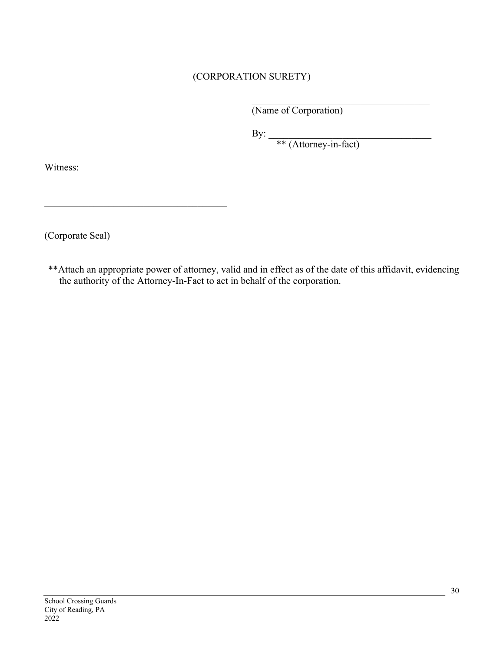#### (CORPORATION SURETY)

(Name of Corporation)

 $\mathbf{By:}$ 

\*\* (Attorney-in-fact)

Witness:

(Corporate Seal)

\*\*Attach an appropriate power of attorney, valid and in effect as of the date of this affidavit, evidencing the authority of the Attorney-In-Fact to act in behalf of the corporation.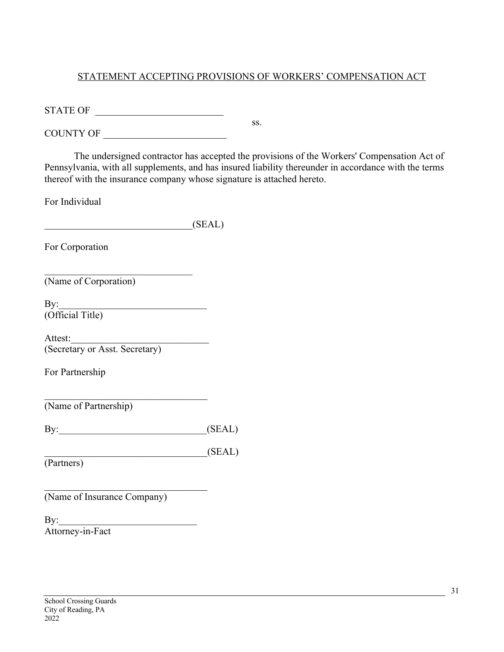#### STATEMENT ACCEPTING PROVISIONS OF WORKERS' COMPENSATION ACT

ss.

STATE OF \_\_\_\_\_\_\_\_\_\_\_\_\_\_\_\_\_\_\_\_\_\_\_\_\_\_

COUNTY OF

The undersigned contractor has accepted the provisions of the Workers' Compensation Act of Pennsylvania, with all supplements, and has insured liability thereunder in accordance with the terms thereof with the insurance company whose signature is attached hereto.

For Individual

For Corporation

(Name of Corporation)

 $\mathbf{By:}$ (Official Title)

Attest: (Secretary or Asst. Secretary)

For Partnership

(Name of Partnership)

By:\_\_\_\_\_\_\_\_\_\_\_\_\_\_\_\_\_\_\_\_\_\_\_\_\_\_\_\_\_\_(SEAL)

 $\mathcal{L}_\text{max}$  and  $\mathcal{L}_\text{max}$  and  $\mathcal{L}_\text{max}$  and  $\mathcal{L}_\text{max}$ 

 $(SEAL)$ 

(Partners)

(Name of Insurance Company)

 $\mathbf{By:}$ Attorney-in-Fact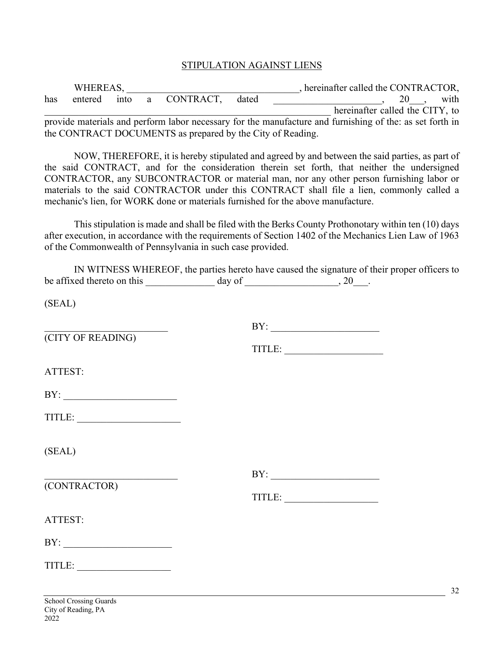#### STIPULATION AGAINST LIENS

| WHEREAS, |         |  |  |                                                            |       | hereinafter called the CONTRACTOR,                                                                                     |
|----------|---------|--|--|------------------------------------------------------------|-------|------------------------------------------------------------------------------------------------------------------------|
| has      | entered |  |  | into a CONTRACT,                                           | dated | with<br>20 and 20 and 20 and 20 and 20 and 20 and 20 and 20 and 20 and 20 and 20 and 20 and 20 and 20 and 20 and 20 an |
|          |         |  |  |                                                            |       | hereinafter called the CITY, to                                                                                        |
|          |         |  |  |                                                            |       | provide materials and perform labor necessary for the manufacture and furnishing of the: as set forth in               |
|          |         |  |  | the CONTRACT DOCUMENTS as prepared by the City of Reading. |       |                                                                                                                        |

NOW, THEREFORE, it is hereby stipulated and agreed by and between the said parties, as part of the said CONTRACT, and for the consideration therein set forth, that neither the undersigned CONTRACTOR, any SUBCONTRACTOR or material man, nor any other person furnishing labor or materials to the said CONTRACTOR under this CONTRACT shall file a lien, commonly called a mechanic's lien, for WORK done or materials furnished for the above manufacture.

This stipulation is made and shall be filed with the Berks County Prothonotary within ten (10) days after execution, in accordance with the requirements of Section 1402 of the Mechanics Lien Law of 1963 of the Commonwealth of Pennsylvania in such case provided.

|                            |        | IN WITNESS WHEREOF, the parties hereto have caused the signature of their proper officers to |  |
|----------------------------|--------|----------------------------------------------------------------------------------------------|--|
| be affixed thereto on this | day of | 20                                                                                           |  |

(SEAL)

|                                                                                                                                                                                                                                                                                                                                                                                                                                                                                                                                                               | BY: |
|---------------------------------------------------------------------------------------------------------------------------------------------------------------------------------------------------------------------------------------------------------------------------------------------------------------------------------------------------------------------------------------------------------------------------------------------------------------------------------------------------------------------------------------------------------------|-----|
| (CITY OF READING)                                                                                                                                                                                                                                                                                                                                                                                                                                                                                                                                             |     |
| ATTEST:                                                                                                                                                                                                                                                                                                                                                                                                                                                                                                                                                       |     |
| BY:                                                                                                                                                                                                                                                                                                                                                                                                                                                                                                                                                           |     |
|                                                                                                                                                                                                                                                                                                                                                                                                                                                                                                                                                               |     |
| (SEAL)                                                                                                                                                                                                                                                                                                                                                                                                                                                                                                                                                        |     |
|                                                                                                                                                                                                                                                                                                                                                                                                                                                                                                                                                               | BY: |
| (CONTRACTOR)                                                                                                                                                                                                                                                                                                                                                                                                                                                                                                                                                  |     |
| ATTEST:                                                                                                                                                                                                                                                                                                                                                                                                                                                                                                                                                       |     |
|                                                                                                                                                                                                                                                                                                                                                                                                                                                                                                                                                               |     |
| $\text{TITLE:}\n \underline{\hspace{2cm}}\n \underline{\hspace{2cm}}\n \underline{\hspace{2cm}}\n \underline{\hspace{2cm}}\n \underline{\hspace{2cm}}\n \underline{\hspace{2cm}}\n \underline{\hspace{2cm}}\n \underline{\hspace{2cm}}\n \underline{\hspace{2cm}}\n \underline{\hspace{2cm}}\n \underline{\hspace{2cm}}\n \underline{\hspace{2cm}}\n \underline{\hspace{2cm}}\n \underline{\hspace{2cm}}\n \underline{\hspace{2cm}}\n \underline{\hspace{2cm}}\n \underline{\hspace{2cm}}\n \underline{\hspace{2cm}}\n \underline{\hspace{2cm}}\n \underline$ |     |
|                                                                                                                                                                                                                                                                                                                                                                                                                                                                                                                                                               |     |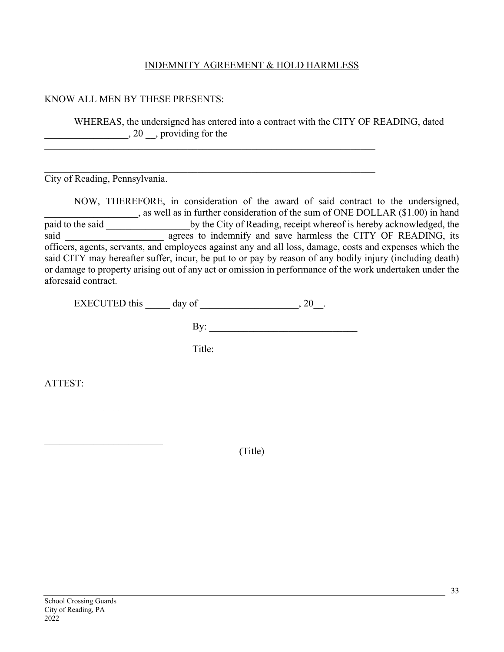#### INDEMNITY AGREEMENT & HOLD HARMLESS

#### KNOW ALL MEN BY THESE PRESENTS:

WHEREAS, the undersigned has entered into a contract with the CITY OF READING, dated  $\frac{1}{20}$ , 20  $\frac{1}{20}$ , providing for the

City of Reading, Pennsylvania.

NOW, THEREFORE, in consideration of the award of said contract to the undersigned, , as well as in further consideration of the sum of ONE DOLLAR (\$1.00) in hand paid to the said by the City of Reading, receipt whereof is hereby acknowledged, the said agrees to indemnify and save harmless the CITY OF READING, its officers, agents, servants, and employees against any and all loss, damage, costs and expenses which the said CITY may hereafter suffer, incur, be put to or pay by reason of any bodily injury (including death) or damage to property arising out of any act or omission in performance of the work undertaken under the aforesaid contract.

EXECUTED this day of  $\qquad \qquad , 20$ .

By: \_\_\_\_\_\_\_\_\_\_\_\_\_\_\_\_\_\_\_\_\_\_\_\_\_\_\_\_\_\_

Title: \_\_\_\_\_\_\_\_\_\_\_\_\_\_\_\_\_\_\_\_\_\_\_\_\_\_\_

ATTEST:

(Title)